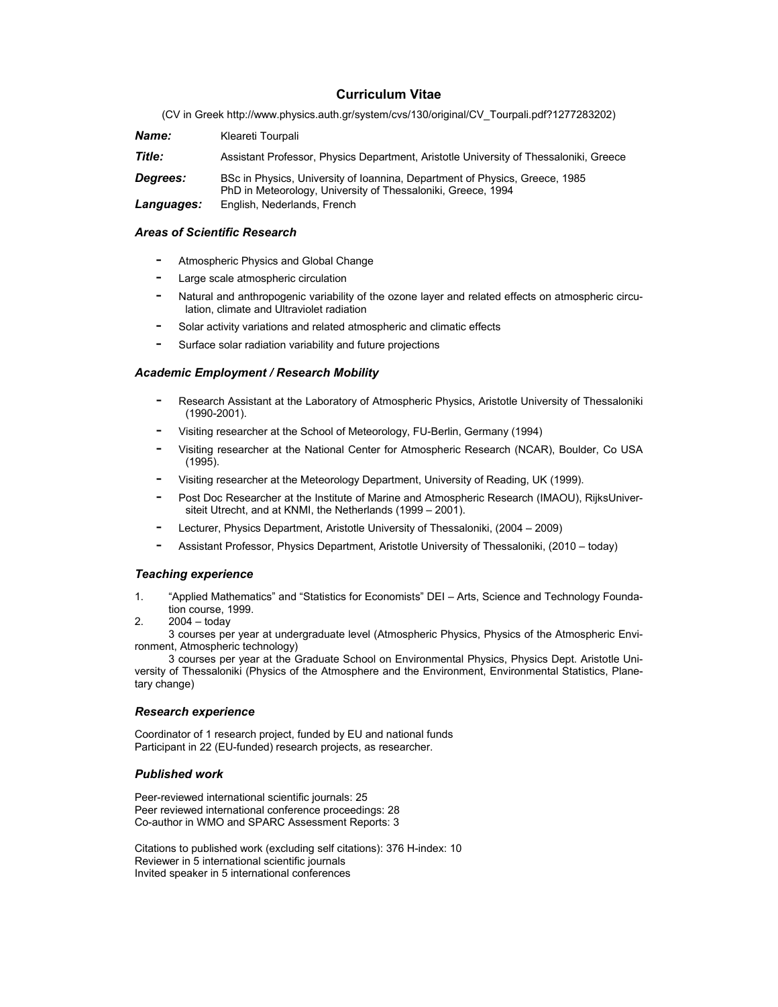# **Curriculum Vitae**

(CV in Greek http://www.physics.auth.gr/system/cvs/130/original/CV\_Tourpali.pdf?1277283202)

| Name:           | Kleareti Tourpali                                                                                                                           |
|-----------------|---------------------------------------------------------------------------------------------------------------------------------------------|
| Title:          | Assistant Professor, Physics Department, Aristotle University of Thessaloniki, Greece                                                       |
| <b>Degrees:</b> | BSc in Physics, University of Ioannina, Department of Physics, Greece, 1985<br>PhD in Meteorology, University of Thessaloniki, Greece, 1994 |
| Languages:      | English, Nederlands, French                                                                                                                 |

## *Areas of Scientific Research*

- Atmospheric Physics and Global Change
- Large scale atmospheric circulation
- Natural and anthropogenic variability of the ozone layer and related effects on atmospheric circulation, climate and Ultraviolet radiation
- Solar activity variations and related atmospheric and climatic effects
- Surface solar radiation variability and future projections

## *Academic Employment / Research Mobility*

- Research Assistant at the Laboratory of Atmospheric Physics, Aristotle University of Thessaloniki (1990-2001).
- Visiting researcher at the School of Meteorology, FU-Berlin, Germany (1994)
- Visiting researcher at the National Center for Atmospheric Research (NCAR), Boulder, Co USA (1995).
- Visiting researcher at the Meteorology Department, University of Reading, UK (1999).
- Post Doc Researcher at the Institute of Marine and Atmospheric Research (IMAOU), RijksUniversiteit Utrecht, and at KNMI, the Netherlands (1999 – 2001).
- Lecturer, Physics Department, Aristotle University of Thessaloniki, (2004 2009)
- Assistant Professor, Physics Department, Aristotle University of Thessaloniki, (2010 today)

## *Teaching experience*

- 1. "Applied Mathematics" and "Statistics for Economists" DEI Arts, Science and Technology Foundation course, 1999.
- 2. 2004 today

3 courses per year at undergraduate level (Atmospheric Physics, Physics of the Atmospheric Environment, Atmospheric technology)

3 courses per year at the Graduate School on Environmental Physics, Physics Dept. Aristotle University of Thessaloniki (Physics of the Atmosphere and the Environment, Environmental Statistics, Planetary change)

## *Research experience*

Coordinator of 1 research project, funded by EU and national funds Participant in 22 (EU-funded) research projects, as researcher.

## *Published work*

Peer-reviewed international scientific journals: 25 Peer reviewed international conference proceedings: 28 Co-author in WMO and SPARC Assessment Reports: 3

Citations to published work (excluding self citations): 376 H-index: 10 Reviewer in 5 international scientific journals Invited speaker in 5 international conferences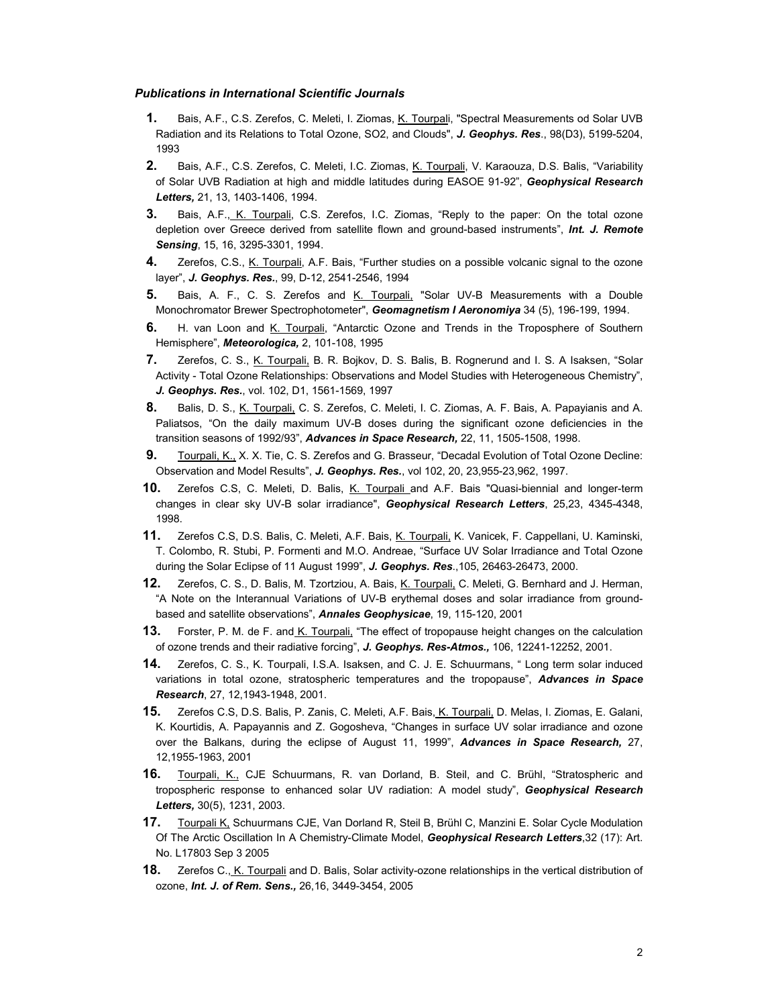#### *Publications in International Scientific Journals*

- **1.** Bais, A.F., C.S. Zerefos, C. Meleti, I. Ziomas, K. Tourpali, "Spectral Measurements od Solar UVB Radiation and its Relations to Total Ozone, SO2, and Clouds", *J. Geophys. Res*., 98(D3), 5199-5204, 1993
- **2.** Bais, A.F., C.S. Zerefos, C. Meleti, I.C. Ziomas, K. Tourpali, V. Karaouza, D.S. Balis, "Variability of Solar UVB Radiation at high and middle latitudes during EASOE 91-92", *Geophysical Research Letters,* 21, 13, 1403-1406, 1994.
- **3.** Bais, A.F., K. Tourpali, C.S. Zerefos, I.C. Ziomas, "Reply to the paper: On the total ozone depletion over Greece derived from satellite flown and ground-based instruments", *Int. J. Remote Sensing*, 15, 16, 3295-3301, 1994.
- **4.** Zerefos, C.S., K. Tourpali, A.F. Bais, "Further studies on a possible volcanic signal to the ozone layer", *J. Geophys. Res.*, 99, D-12, 2541-2546, 1994
- **5.** Bais, A. F., C. S. Zerefos and K. Tourpali, "Solar UV-B Measurements with a Double Monochromator Brewer Spectrophotometer", *Geomagnetism I Aeronomiya* 34 (5), 196-199, 1994.
- **6.** H. van Loon and K. Tourpali, "Antarctic Ozone and Trends in the Troposphere of Southern Hemisphere", *Meteorologica,* 2, 101-108, 1995
- **7.** Zerefos, C. S., K. Tourpali, B. R. Bojkov, D. S. Balis, B. Rognerund and I. S. A Ιsaksen, "Solar Activity - Total Ozone Relationships: Observations and Model Studies with Heterogeneous Chemistry", *J. Geophys. Res.*, vol. 102, D1, 1561-1569, 1997
- **8.** Balis, D. S., K. Tourpali, C. S. Zerefos, C. Meleti, I. C. Ziomas, A. F. Bais, A. Papayianis and A. Paliatsos, "On the daily maximum UV-B doses during the significant ozone deficiencies in the transition seasons of 1992/93", *Advances in Space Research,* 22, 11, 1505-1508, 1998.
- **9.** Tourpali, Κ., X. X. Tie, C. S. Zerefos and G. Brasseur, "Decadal Evolution of Total Ozone Decline: Observation and Model Results", *J. Geophys. Res.*, vol 102, 20, 23,955-23,962, 1997.
- **10.** Zerefos C.S, C. Meleti, D. Balis, K. Tourpali and A.F. Bais "Quasi-biennial and longer-term changes in clear sky UV-B solar irradiance", *Geophysical Research Letters*, 25,23, 4345-4348, 1998.
- **11.** Zerefos C.S, D.S. Balis, C. Meleti, A.F. Bais, K. Tourpali, K. Vanicek, F. Cappellani, U. Kaminski, T. Colombo, R. Stubi, P. Formenti and M.O. Andreae, "Surface UV Solar Irradiance and Total Ozone during the Solar Eclipse of 11 August 1999", *J. Geophys. Res*.,105, 26463-26473, 2000.
- **12.** Zerefos, C. S., D. Balis, M. Tzortziou, A. Bais, K. Tourpali, C. Meleti, G. Bernhard and J. Herman, "A Note on the Interannual Variations of UV-B erythemal doses and solar irradiance from groundbased and satellite observations", *Annales Geophysicae*, 19, 115-120, 2001
- **13.** Forster, P. M. de F. and K. Tourpali, "The effect of tropopause height changes on the calculation of ozone trends and their radiative forcing", *J. Geophys. Res-Atmos.,* 106, 12241-12252, 2001.
- **14.** Zerefos, C. S., K. Tourpali, I.S.A. Isaksen, and C. J. E. Schuurmans, " Long term solar induced variations in total ozone, stratospheric temperatures and the tropopause", *Advances in Space Research*, 27, 12,1943-1948, 2001.
- **15.** Zerefos C.S, D.S. Balis, P. Zanis, C. Meleti, A.F. Bais, K. Tourpali, D. Melas, I. Ziomas, E. Galani, K. Kourtidis, A. Papayannis and Z. Gogosheva, "Changes in surface UV solar irradiance and ozone over the Balkans, during the eclipse of August 11, 1999", *Advances in Space Research,* 27, 12,1955-1963, 2001
- **16.** Tourpali, K., CJE Schuurmans, R. van Dorland, B. Steil, and C. Brühl, "Stratospheric and tropospheric response to enhanced solar UV radiation: A model study", *Geophysical Research Letters,* 30(5), 1231, 2003.
- **17.** Tourpali K, Schuurmans CJE, Van Dorland R, Steil B, Brühl C, Manzini E. Solar Cycle Modulation Of The Arctic Oscillation In A Chemistry-Climate Model, *Geophysical Research Letters*,32 (17): Art. No. L17803 Sep 3 2005
- **18.** Zerefos C., K. Tourpali and D. Balis, Solar activity-ozone relationships in the vertical distribution of ozone, *Int. J. of Rem. Sens.,* 26,16, 3449-3454, 2005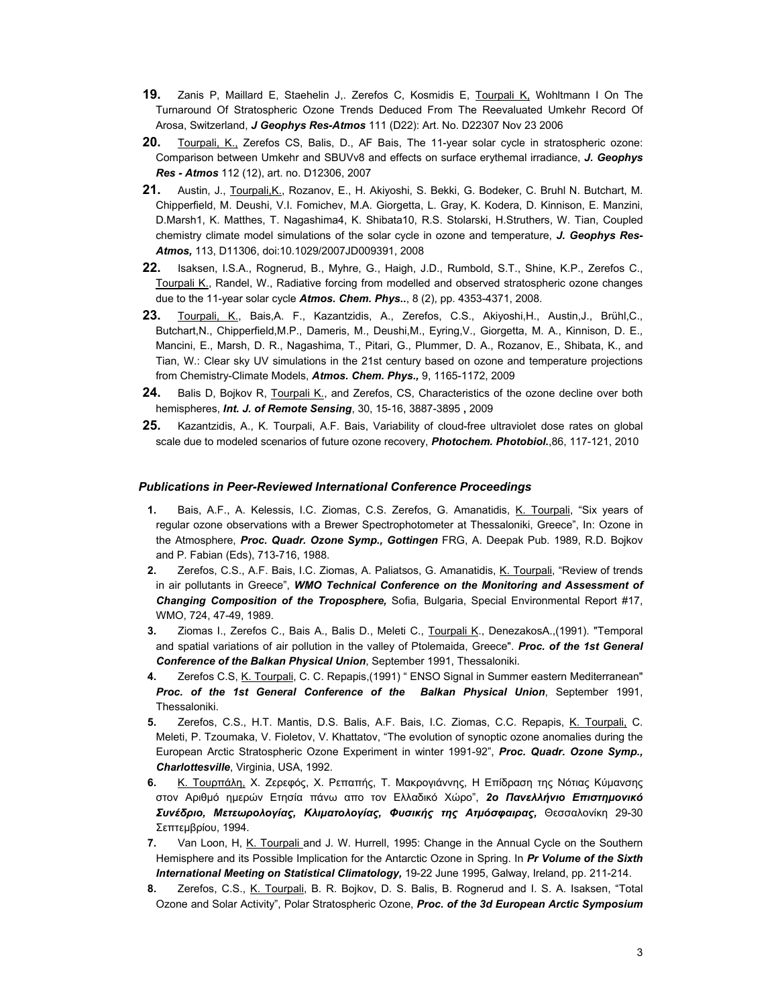- **19.** Zanis P, Maillard E, Staehelin J,. Zerefos C, Kosmidis E, Tourpali K, Wohltmann I On The Turnaround Of Stratospheric Ozone Trends Deduced From The Reevaluated Umkehr Record Of Arosa, Switzerland, *J Geophys Res-Atmos* 111 (D22): Art. No. D22307 Nov 23 2006
- **20.** Tourpali, K., Zerefos CS, Balis, D., AF Bais, The 11-year solar cycle in stratospheric ozone: Comparison between Umkehr and SBUVv8 and effects on surface erythemal irradiance, *J. Geophys Res - Atmos* 112 (12), art. no. D12306, 2007
- **21.** Austin, J., Tourpali,K., Rozanov, E., H. Akiyoshi, S. Bekki, G. Bodeker, C. Bruhl N. Butchart, M. Chipperfield, M. Deushi, V.I. Fomichev, M.A. Giorgetta, L. Gray, K. Kodera, D. Kinnison, E. Manzini, D.Marsh1, K. Matthes, T. Nagashima4, K. Shibata10, R.S. Stolarski, H.Struthers, W. Tian, Coupled chemistry climate model simulations of the solar cycle in ozone and temperature, *J. Geophys Res-Atmos,* 113, D11306, doi:10.1029/2007JD009391, 2008
- **22.** Isaksen, I.S.A., Rognerud, B., Myhre, G., Haigh, J.D., Rumbold, S.T., Shine, K.P., Zerefos C., Tourpali K., Randel, W., Radiative forcing from modelled and observed stratospheric ozone changes due to the 11-year solar cycle *Atmos. Chem. Phys..*, 8 (2), pp. 4353-4371, 2008.
- **23.** Tourpali, K., Bais,A. F., Kazantzidis, A., Zerefos, C.S., Akiyoshi,H., Austin,J., Brühl,C., Butchart,N., Chipperfield,M.P., Dameris, M., Deushi,M., Eyring,V., Giorgetta, M. A., Kinnison, D. E., Mancini, E., Marsh, D. R., Nagashima, T., Pitari, G., Plummer, D. A., Rozanov, E., Shibata, K., and Tian, W.: Clear sky UV simulations in the 21st century based on ozone and temperature projections from Chemistry-Climate Models, *Atmos. Chem. Phys.,* 9, 1165-1172, 2009
- **24.** Balis D, Bojkov R, Tourpali K., and Zerefos, CS, Characteristics of the ozone decline over both hemispheres, *Int. J. of Remote Sensing*, 30, 15-16, 3887-3895 **,** 2009
- **25.** Kazantzidis, A., K. Tourpali, A.F. Bais, Variability of cloud-free ultraviolet dose rates on global scale due to modeled scenarios of future ozone recovery, *Photochem. Photobiol.*,86, 117-121, 2010

#### *Publications in Peer-Reviewed International Conference Proceedings*

- **1.** Bais, A.F., A. Kelessis, I.C. Ziomas, C.S. Zerefos, G. Amanatidis, K. Tourpali, "Six years of regular ozone observations with a Brewer Spectrophotometer at Thessaloniki, Greece", In: Ozone in the Atmosphere, *Proc. Quadr. Ozone Symp., Gottingen* FRG, A. Deepak Pub. 1989, R.D. Bojkov and P. Fabian (Eds), 713-716, 1988.
- **2.** Zerefos, C.S., A.F. Bais, I.C. Ziomas, A. Paliatsos, G. Amanatidis, K. Tourpali, "Review of trends in air pollutants in Greece", *WMO Technical Conference on the Monitoring and Assessment of Changing Composition of the Troposphere,* Sofia, Bulgaria, Special Environmental Report #17, WMO, 724, 47-49, 1989.
- **3.** Ziomas I., Zerefos C., Bais A., Balis D., Meleti C., Tourpali K., DenezakosA.,(1991). "Temporal and spatial variations of air pollution in the valley of Ptolemaida, Greece". *Proc. of the 1st General Conference of the Balkan Physical Union*, September 1991, Thessaloniki.
- **4.** Zerefos C.S, K. Tourpali, C. C. Repapis,(1991) " ENSO Signal in Summer eastern Mediterranean" *Proc. of the 1st General Conference of the Balkan Physical Union*, September 1991, Thessaloniki.
- **5.** Zerefos, C.S., H.T. Mantis, D.S. Balis, A.F. Bais, I.C. Ziomas, C.C. Repapis, K. Tourpali, C. Meleti, P. Tzoumaka, V. Fioletov, V. Khattatov, "The evolution of synoptic ozone anomalies during the European Arctic Stratospheric Ozone Experiment in winter 1991-92", *Proc. Quadr. Ozone Symp., Charlottesville*, Virginia, USA, 1992.
- **6.** Κ. Τουρπάλη, Χ. Ζερεφός, Χ. Ρεπαπής, Τ. Μακρογιάννης, Η Επίδραση της Νότιας Κύµανσης στον Αριθµό ηµερών Ετησία πάνω απο τον Ελλαδικό Χώρο", *2ο Πανελλήνιο Επιστηµονικό Συνέδριο, Μετεωρολογίας, Κλιµατολογίας, Φυσικής της Ατµόσφαιρας,* Θεσσαλονίκη 29-30 Σεπτεµβρίου, 1994.
- **7.** Van Loon, H, K. Tourpali and J. W. Hurrell, 1995: Change in the Annual Cycle on the Southern Hemisphere and its Possible Implication for the Antarctic Ozone in Spring. In *Pr Volume of the Sixth International Meeting on Statistical Climatology,* 19-22 June 1995, Galway, Ireland, pp. 211-214.
- **8.** Zerefos, C.S., K. Tourpali, B. R. Bojkov, D. S. Balis, B. Rognerud and I. S. A. Isaksen, "Total Ozone and Solar Activity", Polar Stratospheric Ozone, *Proc. of the 3d European Arctic Symposium*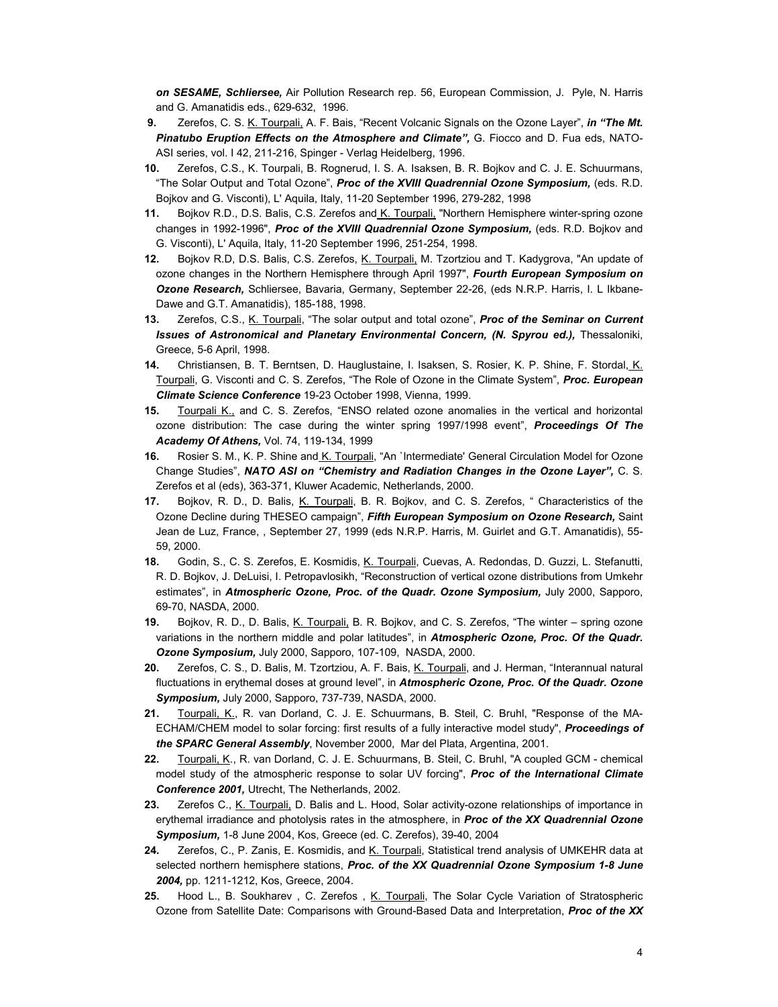*on SESAME, Schliersee,* Air Pollution Research rep. 56, European Commission, J. Pyle, N. Harris and G. Amanatidis eds., 629-632, 1996.

- **9.** Zerefos, C. S. K. Tourpali, A. F. Bais, "Recent Volcanic Signals on the Ozone Layer", *in "The Mt. Pinatubo Eruption Effects on the Atmosphere and Climate",* G. Fiocco and D. Fua eds, NATO-ASI series, vol. I 42, 211-216, Spinger - Verlag Heidelberg, 1996.
- **10.** Zerefos, C.S., K. Tourpali, B. Rognerud, I. S. A. Isaksen, B. R. Bojkov and C. J. E. Schuurmans, "The Solar Output and Total Ozone", *Proc of the XVIII Quadrennial Ozone Symposium,* (eds. R.D. Bojkov and G. Visconti), L' Aquila, Italy, 11-20 September 1996, 279-282, 1998
- **11.** Bojkov R.D., D.S. Balis, C.S. Zerefos and K. Tourpali, "Northern Hemisphere winter-spring ozone changes in 1992-1996", *Proc of the XVIII Quadrennial Ozone Symposium,* (eds. R.D. Bojkov and G. Visconti), L' Aquila, Italy, 11-20 September 1996, 251-254, 1998.
- **12.** Bojkov R.D, D.S. Balis, C.S. Zerefos, K. Tourpali, M. Tzortziou and T. Kadygrova, "An update of ozone changes in the Northern Hemisphere through April 1997", *Fourth European Symposium on Ozone Research,* Schliersee, Bavaria, Germany, September 22-26, (eds N.R.P. Harris, I. L Ikbane-Dawe and G.T. Amanatidis), 185-188, 1998.
- **13.** Zerefos, C.S., K. Tourpali, "The solar output and total ozone", *Proc of the Seminar on Current*  Issues of Astronomical and Planetary Environmental Concern, (N. Spyrou ed.), Thessaloniki, Greece, 5-6 April, 1998.
- **14.** Christiansen, B. T. Berntsen, D. Hauglustaine, I. Isaksen, S. Rosier, K. P. Shine, F. Stordal, K. Tourpali, G. Visconti and C. S. Zerefos, "The Role of Ozone in the Climate System", *Proc. European Climate Science Conference* 19-23 October 1998, Vienna, 1999.
- **15.** Tourpali K., and C. S. Zerefos, "ENSO related ozone anomalies in the vertical and horizontal ozone distribution: The case during the winter spring 1997/1998 event", *Proceedings Of The Academy Of Athens,* Vol. 74, 119-134, 1999
- **16.** Rosier S. M., K. P. Shine and K. Tourpali, "An `Intermediate' General Circulation Model for Ozone Change Studies", *NATO ASI on "Chemistry and Radiation Changes in the Ozone Layer",* C. S. Zerefos et al (eds), 363-371, Kluwer Academic, Netherlands, 2000.
- **17.** Bojkov, R. D., D. Balis, K. Tourpali, B. R. Bojkov, and C. S. Zerefos, " Characteristics of the Ozone Decline during THESEO campaign", *Fifth European Symposium on Ozone Research,* Saint Jean de Luz, France, , September 27, 1999 (eds N.R.P. Harris, M. Guirlet and G.T. Amanatidis), 55- 59, 2000.
- **18.** Godin, S., C. S. Zerefos, E. Kosmidis, K. Tourpali, Cuevas, A. Redondas, D. Guzzi, L. Stefanutti, R. D. Bojkov, J. DeLuisi, I. Petropavlosikh, "Reconstruction of vertical ozone distributions from Umkehr estimates", in *Atmospheric Ozone, Proc. of the Quadr. Ozone Symposium,* July 2000, Sapporo, 69-70, NASDA, 2000.
- **19.** Bojkov, R. D., D. Balis, K. Tourpali, B. R. Bojkov, and C. S. Zerefos, "The winter spring ozone variations in the northern middle and polar latitudes", in *Atmospheric Ozone, Proc. Of the Quadr. Ozone Symposium,* July 2000, Sapporo, 107-109, NASDA, 2000.
- **20.** Zerefos, C. S., D. Balis, M. Tzortziou, A. F. Bais, K. Tourpali, and J. Herman, "Interannual natural fluctuations in erythemal doses at ground level", in *Atmospheric Ozone, Proc. Of the Quadr. Ozone Symposium,* July 2000, Sapporo, 737-739, NASDA, 2000.
- **21.** Tourpali, K., R. van Dorland, C. J. E. Schuurmans, B. Steil, C. Bruhl, "Response of the MA-ECHAM/CHEM model to solar forcing: first results of a fully interactive model study", *Proceedings of the SPARC General Assembly*, November 2000, Mar del Plata, Argentina, 2001.
- **22.** Tourpali, K., R. van Dorland, C. J. E. Schuurmans, B. Steil, C. Bruhl, "A coupled GCM chemical model study of the atmospheric response to solar UV forcing", *Proc of the International Climate Conference 2001,* Utrecht, The Netherlands, 2002.
- **23.** Zerefos C., K. Tourpali, D. Balis and L. Hood, Solar activity-ozone relationships of importance in erythemal irradiance and photolysis rates in the atmosphere, in *Proc of the XX Quadrennial Ozone Symposium,* 1-8 June 2004, Kos, Greece (ed. C. Zerefos), 39-40, 2004
- **24.** Zerefos, C., P. Zanis, E. Kosmidis, and K. Tourpali, Statistical trend analysis of UMKEHR data at selected northern hemisphere stations, *Proc. of the XX Quadrennial Ozone Symposium 1-8 June 2004,* pp. 1211-1212, Kos, Greece, 2004.
- 25. Hood L., B. Soukharev , C. Zerefos , K. Tourpali, The Solar Cycle Variation of Stratospheric Ozone from Satellite Date: Comparisons with Ground-Based Data and Interpretation, *Proc of the XX*